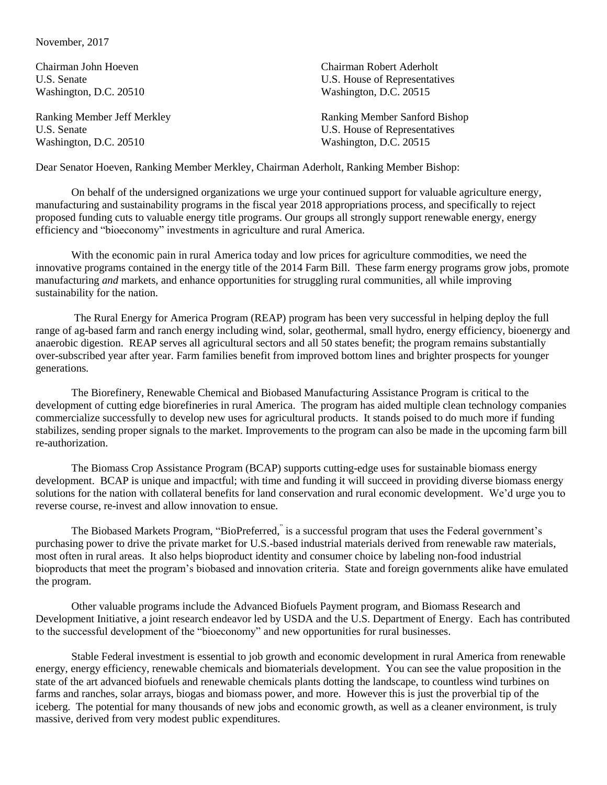## November, 2017

Washington, D.C. 20510 Washington, D.C. 20515

Chairman John Hoeven Chairman Robert Aderholt U.S. Senate U.S. Senate U.S. House of Representatives Washington, D.C. 20510 Washington, D.C. 20515

Ranking Member Jeff Merkley **Ranking Member Sanford Bishop** U.S. Senate U.S. House of Representatives

Dear Senator Hoeven, Ranking Member Merkley, Chairman Aderholt, Ranking Member Bishop:

On behalf of the undersigned organizations we urge your continued support for valuable agriculture energy, manufacturing and sustainability programs in the fiscal year 2018 appropriations process, and specifically to reject proposed funding cuts to valuable energy title programs. Our groups all strongly support renewable energy, energy efficiency and "bioeconomy" investments in agriculture and rural America.

With the economic pain in rural America today and low prices for agriculture commodities, we need the innovative programs contained in the energy title of the 2014 Farm Bill.These farm energy programs grow jobs, promote manufacturing *and* markets, and enhance opportunities for struggling rural communities, all while improving sustainability for the nation.

The Rural Energy for America Program (REAP) program has been very successful in helping deploy the full range of ag-based farm and ranch energy including wind, solar, geothermal, small hydro, energy efficiency, bioenergy and anaerobic digestion. REAP serves all agricultural sectors and all 50 states benefit; the program remains substantially over-subscribed year after year. Farm families benefit from improved bottom lines and brighter prospects for younger generations.

The Biorefinery, Renewable Chemical and Biobased Manufacturing Assistance Program is critical to the development of cutting edge biorefineries in rural America. The program has aided multiple clean technology companies commercialize successfully to develop new uses for agricultural products. It stands poised to do much more if funding stabilizes, sending proper signals to the market. Improvements to the program can also be made in the upcoming farm bill re-authorization.

The Biomass Crop Assistance Program (BCAP) supports cutting-edge uses for sustainable biomass energy development. BCAP is unique and impactful; with time and funding it will succeed in providing diverse biomass energy solutions for the nation with collateral benefits for land conservation and rural economic development. We'd urge you to reverse course, re-invest and allow innovation to ensue.

The Biobased Markets Program, "BioPreferred," is a successful program that uses the Federal government's purchasing power to drive the private market for U.S.-based industrial materials derived from renewable raw materials, most often in rural areas. It also helps bioproduct identity and consumer choice by labeling non-food industrial bioproducts that meet the program's biobased and innovation criteria. State and foreign governments alike have emulated the program.

Other valuable programs include the Advanced Biofuels Payment program, and Biomass Research and Development Initiative, a joint research endeavor led by USDA and the U.S. Department of Energy. Each has contributed to the successful development of the "bioeconomy" and new opportunities for rural businesses.

Stable Federal investment is essential to job growth and economic development in rural America from renewable energy, energy efficiency, renewable chemicals and biomaterials development. You can see the value proposition in the state of the art advanced biofuels and renewable chemicals plants dotting the landscape, to countless wind turbines on farms and ranches, solar arrays, biogas and biomass power, and more. However this is just the proverbial tip of the iceberg. The potential for many thousands of new jobs and economic growth, as well as a cleaner environment, is truly massive, derived from very modest public expenditures.